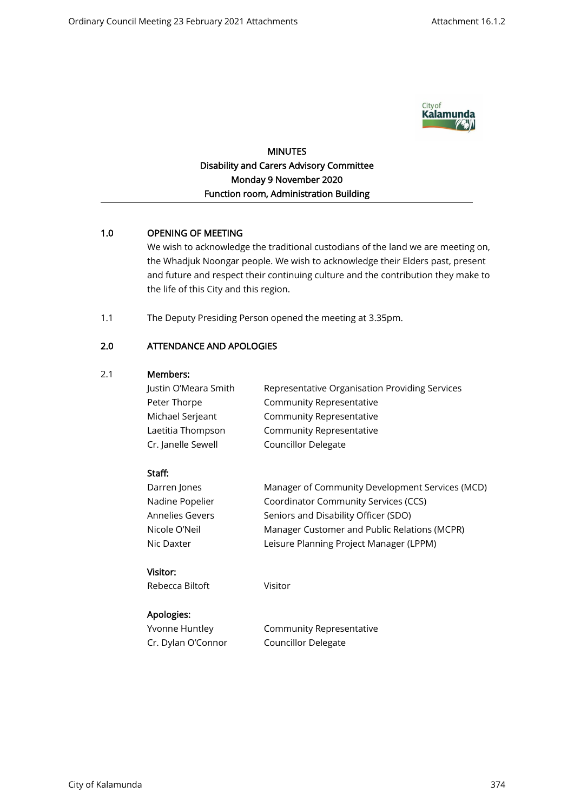

MINUTES Disability and Carers Advisory Committee Monday 9 November 2020 Function room, Administration Building

# 1.0 OPENING OF MEETING

We wish to acknowledge the traditional custodians of the land we are meeting on, the Whadjuk Noongar people. We wish to acknowledge their Elders past, present and future and respect their continuing culture and the contribution they make to the life of this City and this region.

1.1 The Deputy Presiding Person opened the meeting at 3.35pm.

# 2.0 ATTENDANCE AND APOLOGIES

## 2.1 Members:

| Justin O'Meara Smith | Representative Organisation Providing Services |
|----------------------|------------------------------------------------|
| Peter Thorpe         | Community Representative                       |
| Michael Serjeant     | Community Representative                       |
| Laetitia Thompson    | Community Representative                       |
| Cr. Janelle Sewell   | <b>Councillor Delegate</b>                     |

## Staff:

| Darren Jones    | Manager of Community Development Services (MCD) |
|-----------------|-------------------------------------------------|
| Nadine Popelier | Coordinator Community Services (CCS)            |
| Annelies Gevers | Seniors and Disability Officer (SDO)            |
| Nicole O'Neil   | Manager Customer and Public Relations (MCPR)    |
| Nic Daxter      | Leisure Planning Project Manager (LPPM)         |
|                 |                                                 |

# Visitor:

Rebecca Biltoft

Visitor

# Apologies:

Yvonne Huntley Cr. Dylan O'Connor Community Representative Councillor Delegate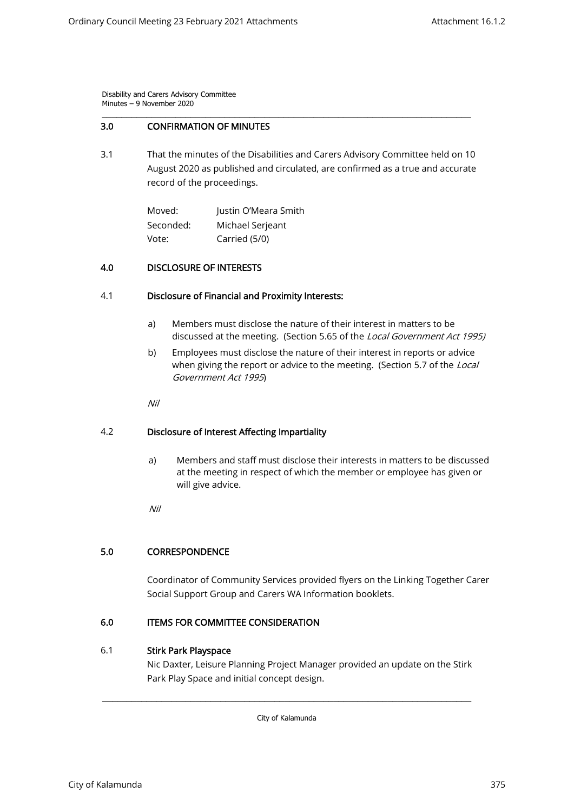## 3.0 CONFIRMATION OF MINUTES

3.1 That the minutes of the Disabilities and Carers Advisory Committee held on 10 August 2020 as published and circulated, are confirmed as a true and accurate record of the proceedings.

\_\_\_\_\_\_\_\_\_\_\_\_\_\_\_\_\_\_\_\_\_\_\_\_\_\_\_\_\_\_\_\_\_\_\_\_\_\_\_\_\_\_\_\_\_\_\_\_\_\_\_\_\_\_\_\_\_\_\_\_\_\_\_\_\_\_\_\_\_\_\_\_\_\_\_

Moved: Seconded: Vote: Justin O'Meara Smith Michael Serjeant Carried (5/0)

## 4.0 DISCLOSURE OF INTERESTS

### 4.1 Disclosure of Financial and Proximity Interests:

- a) Members must disclose the nature of their interest in matters to be discussed at the meeting. (Section 5.65 of the Local Government Act 1995)
- b) Employees must disclose the nature of their interest in reports or advice when giving the report or advice to the meeting. (Section 5.7 of the *Local* Government Act 1995)

Nil

### 4.2 Disclosure of Interest Affecting Impartiality

a) Members and staff must disclose their interests in matters to be discussed at the meeting in respect of which the member or employee has given or will give advice.

Nil

### 5.0 CORRESPONDENCE

Coordinator of Community Services provided flyers on the Linking Together Carer Social Support Group and Carers WA Information booklets.

### 6.0 ITEMS FOR COMMITTEE CONSIDERATION

## 6.1 Stirk Park Playspace

Nic Daxter, Leisure Planning Project Manager provided an update on the Stirk Park Play Space and initial concept design.

City of Kalamunda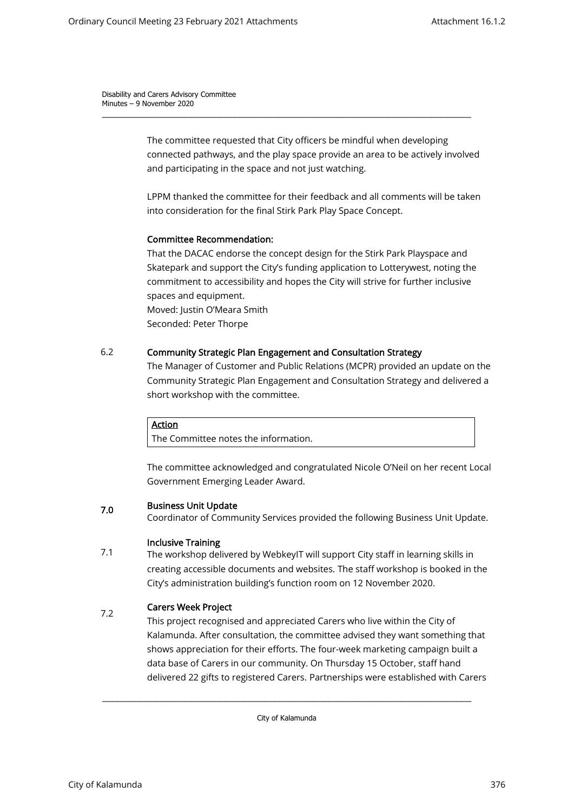> The committee requested that City officers be mindful when developing connected pathways, and the play space provide an area to be actively involved and participating in the space and not just watching.

\_\_\_\_\_\_\_\_\_\_\_\_\_\_\_\_\_\_\_\_\_\_\_\_\_\_\_\_\_\_\_\_\_\_\_\_\_\_\_\_\_\_\_\_\_\_\_\_\_\_\_\_\_\_\_\_\_\_\_\_\_\_\_\_\_\_\_\_\_\_\_\_\_\_\_

LPPM thanked the committee for their feedback and all comments will be taken into consideration for the final Stirk Park Play Space Concept.

## Committee Recommendation:

That the DACAC endorse the concept design for the Stirk Park Playspace and Skatepark and support the City's funding application to Lotterywest, noting the commitment to accessibility and hopes the City will strive for further inclusive spaces and equipment. Moved: Justin O'Meara Smith

Seconded: Peter Thorpe

## 6.2 Community Strategic Plan Engagement and Consultation Strategy

The Manager of Customer and Public Relations (MCPR) provided an update on the Community Strategic Plan Engagement and Consultation Strategy and delivered a short workshop with the committee.

### Action

The Committee notes the information.

The committee acknowledged and congratulated Nicole O'Neil on her recent Local Government Emerging Leader Award.

#### 7.0 Business Unit Update

Coordinator of Community Services provided the following Business Unit Update.

### 7.1 Inclusive Training

The workshop delivered by WebkeyIT will support City staff in learning skills in creating accessible documents and websites. The staff workshop is booked in the City's administration building's function room on 12 November 2020.

### 7.2 Carers Week Project

This project recognised and appreciated Carers who live within the City of Kalamunda. After consultation, the committee advised they want something that shows appreciation for their efforts. The four-week marketing campaign built a data base of Carers in our community. On Thursday 15 October, staff hand delivered 22 gifts to registered Carers. Partnerships were established with Carers

City of Kalamunda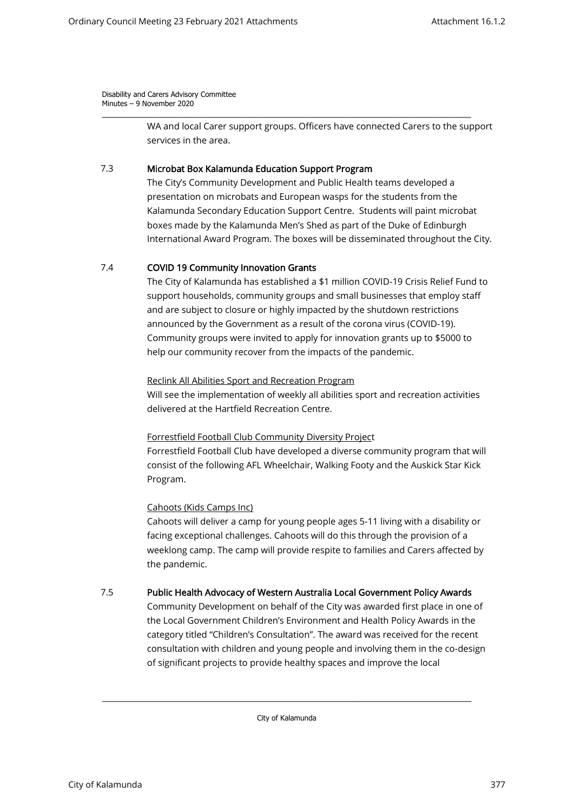> WA and local Carer support groups. Officers have connected Carers to the support services in the area.

\_\_\_\_\_\_\_\_\_\_\_\_\_\_\_\_\_\_\_\_\_\_\_\_\_\_\_\_\_\_\_\_\_\_\_\_\_\_\_\_\_\_\_\_\_\_\_\_\_\_\_\_\_\_\_\_\_\_\_\_\_\_\_\_\_\_\_\_\_\_\_\_\_\_\_

#### 7.3 Microbat Box Kalamunda Education Support Program

The City's Community Development and Public Health teams developed a presentation on microbats and European wasps for the students from the Kalamunda Secondary Education Support Centre. Students will paint microbat boxes made by the Kalamunda Men's Shed as part of the Duke of Edinburgh International Award Program. The boxes will be disseminated throughout the City.

#### 7.4 COVID 19 Community Innovation Grants

The City of Kalamunda has established a \$1 million COVID-19 Crisis Relief Fund to support households, community groups and small businesses that employ staff and are subject to closure or highly impacted by the shutdown restrictions announced by the Government as a result of the corona virus (COVID-19). Community groups were invited to apply for innovation grants up to \$5000 to help our community recover from the impacts of the pandemic.

### Reclink All Abilities Sport and Recreation Program

Will see the implementation of weekly all abilities sport and recreation activities delivered at the Hartfield Recreation Centre.

### Forrestfield Football Club Community Diversity Project

Forrestfield Football Club have developed a diverse community program that will consist of the following AFL Wheelchair, Walking Footy and the Auskick Star Kick Program.

### Cahoots (Kids Camps Inc)

Cahoots will deliver a camp for young people ages 5-11 living with a disability or facing exceptional challenges. Cahoots will do this through the provision of a weeklong camp. The camp will provide respite to families and Carers affected by the pandemic.

#### 7.5 Public Health Advocacy of Western Australia Local Government Policy Awards

Community Development on behalf of the City was awarded first place in one of the Local Government Children's Environment and Health Policy Awards in the category titled "Children's Consultation". The award was received for the recent consultation with children and young people and involving them in the co-design of significant projects to provide healthy spaces and improve the local

City of Kalamunda